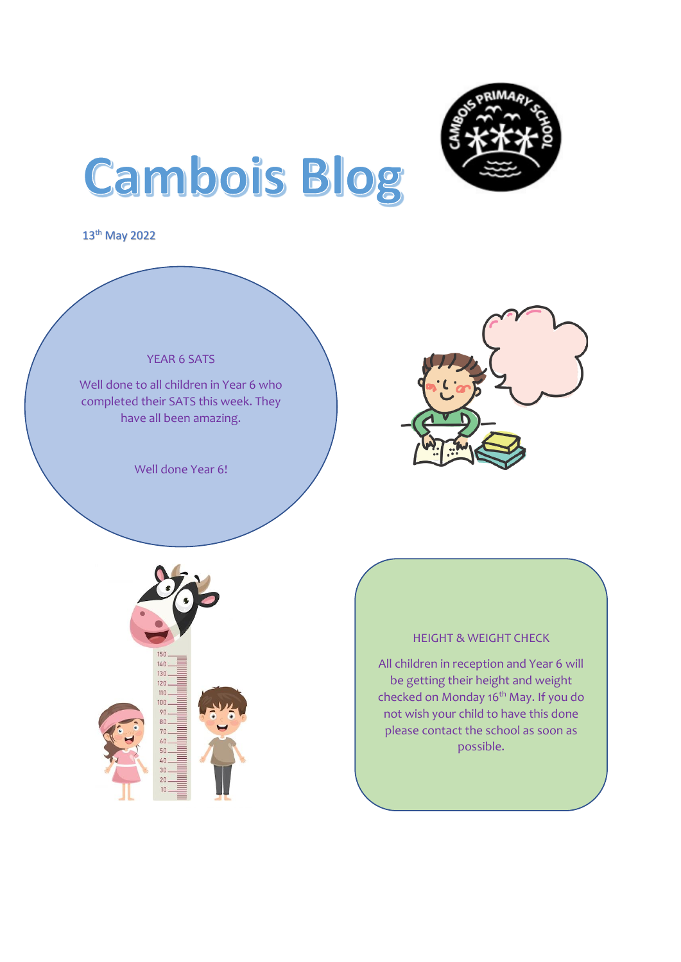

# **Cambois Blog**

13th May 2022





#### HEIGHT & WEIGHT CHECK

All children in reception and Year 6 will be getting their height and weight checked on Monday 16<sup>th</sup> May. If you do not wish your child to have this done please contact the school as soon as possible.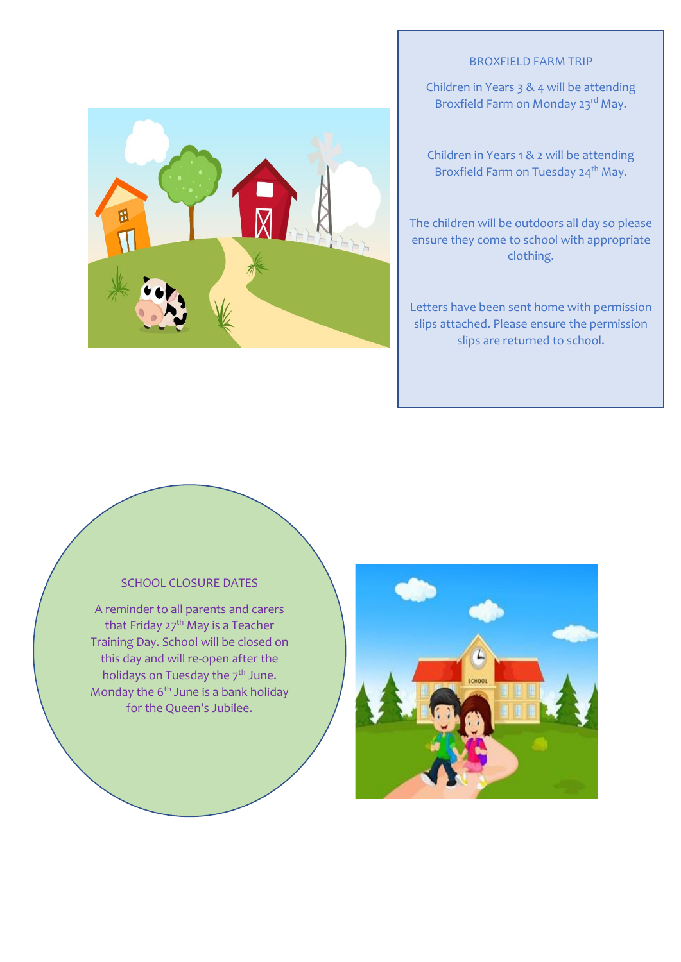### BROXFIELD FARM TRIP

Children in Years 3 & 4 will be attending Broxfield Farm on Monday 23<sup>rd</sup> May.

Children in Years 1 & 2 will be attending Broxfield Farm on Tuesday 24<sup>th</sup> May.

The children will be outdoors all day so please ensure they come to school with appropriate clothing.

Letters have been sent home with permission slips attached. Please ensure the permission slips are returned to school.

## SCHOOL CLOSURE DATES

A reminder to all parents and carers that Friday 27<sup>th</sup> May is a Teacher Training Day. School will be closed on this day and will re-open after the holidays on Tuesday the 7<sup>th</sup> June. Monday the  $6<sup>th</sup>$  June is a bank holiday for the Queen's Jubilee.



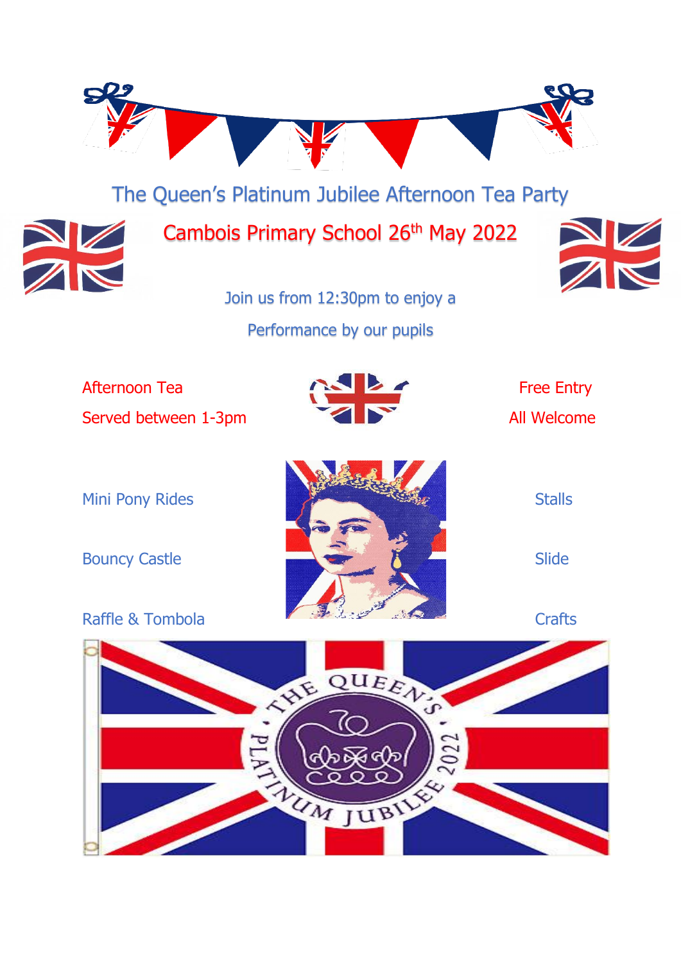